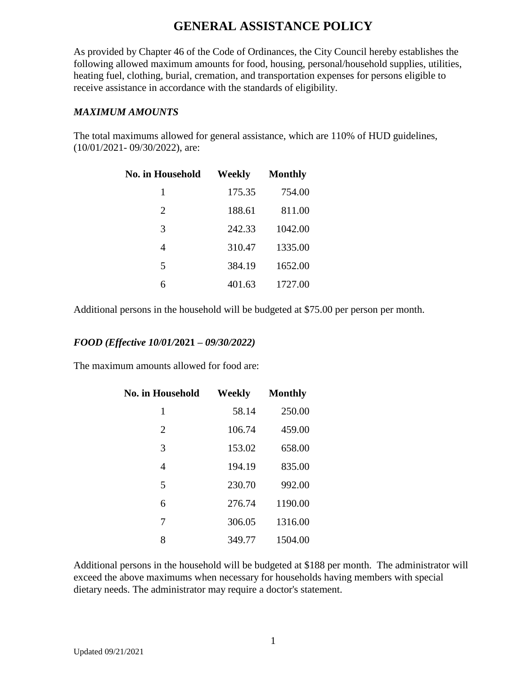As provided by Chapter 46 of the Code of Ordinances, the City Council hereby establishes the following allowed maximum amounts for food, housing, personal/household supplies, utilities, heating fuel, clothing, burial, cremation, and transportation expenses for persons eligible to receive assistance in accordance with the standards of eligibility.

#### *MAXIMUM AMOUNTS*

The total maximums allowed for general assistance, which are 110% of HUD guidelines, (10/01/2021- 09/30/2022), are:

| <b>No. in Household</b> | Weekly | <b>Monthly</b> |
|-------------------------|--------|----------------|
| 1                       | 175.35 | 754.00         |
| $\overline{2}$          | 188.61 | 811.00         |
| 3                       | 242.33 | 1042.00        |
| 4                       | 310.47 | 1335.00        |
| 5                       | 384.19 | 1652.00        |
| 6                       | 401.63 | 1727.00        |

Additional persons in the household will be budgeted at \$75.00 per person per month.

### *FOOD (Effective 10/01/***2021** *– 09/30/2022)*

The maximum amounts allowed for food are:

| <b>No. in Household</b> | Weekly | <b>Monthly</b> |
|-------------------------|--------|----------------|
| 1                       | 58.14  | 250.00         |
| $\overline{2}$          | 106.74 | 459.00         |
| 3                       | 153.02 | 658.00         |
| 4                       | 194.19 | 835.00         |
| 5                       | 230.70 | 992.00         |
| 6                       | 276.74 | 1190.00        |
| 7                       | 306.05 | 1316.00        |
| 8                       | 349.77 | 1504.00        |

Additional persons in the household will be budgeted at \$188 per month. The administrator will exceed the above maximums when necessary for households having members with special dietary needs. The administrator may require a doctor's statement.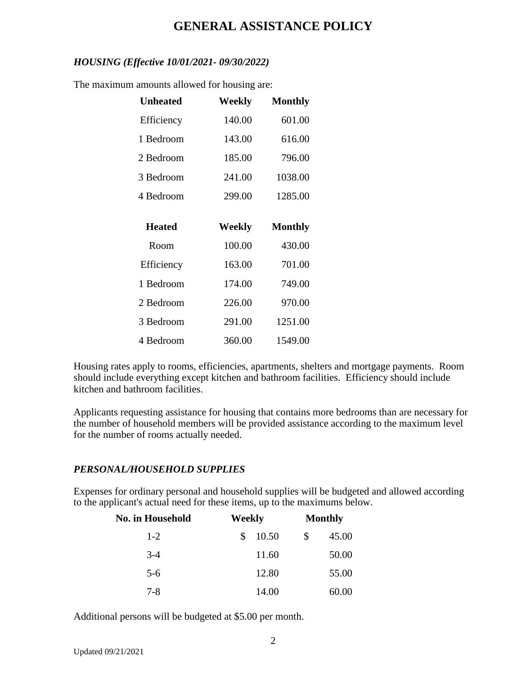### *HOUSING (Effective 10/01/2021- 09/30/2022)*

The maximum amounts allowed for housing are:

| <b>Unheated</b> | Weekly | <b>Monthly</b> |
|-----------------|--------|----------------|
| Efficiency      | 140.00 | 601.00         |
| 1 Bedroom       | 143.00 | 616.00         |
| 2 Bedroom       | 185.00 | 796.00         |
| 3 Bedroom       | 241.00 | 1038.00        |
| 4 Bedroom       | 299.00 | 1285.00        |
|                 |        |                |
|                 |        |                |
| <b>Heated</b>   | Weekly | <b>Monthly</b> |
| Room            | 100.00 | 430.00         |
| Efficiency      | 163.00 | 701.00         |
| 1 Bedroom       | 174.00 | 749.00         |
| 2 Bedroom       | 226.00 | 970.00         |
| 3 Bedroom       | 291.00 | 1251.00        |

Housing rates apply to rooms, efficiencies, apartments, shelters and mortgage payments. Room should include everything except kitchen and bathroom facilities. Efficiency should include kitchen and bathroom facilities.

Applicants requesting assistance for housing that contains more bedrooms than are necessary for the number of household members will be provided assistance according to the maximum level for the number of rooms actually needed.

### *PERSONAL/HOUSEHOLD SUPPLIES*

Expenses for ordinary personal and household supplies will be budgeted and allowed according to the applicant's actual need for these items, up to the maximums below.

| <b>No. in Household</b> | Weekly       | <b>Monthly</b> |
|-------------------------|--------------|----------------|
| $1-2$                   | 10.50<br>\$. | \$<br>45.00    |
| $3-4$                   | 11.60        | 50.00          |
| $5 - 6$                 | 12.80        | 55.00          |
| $7 - 8$                 | 14.00        | 60.00          |

Additional persons will be budgeted at \$5.00 per month.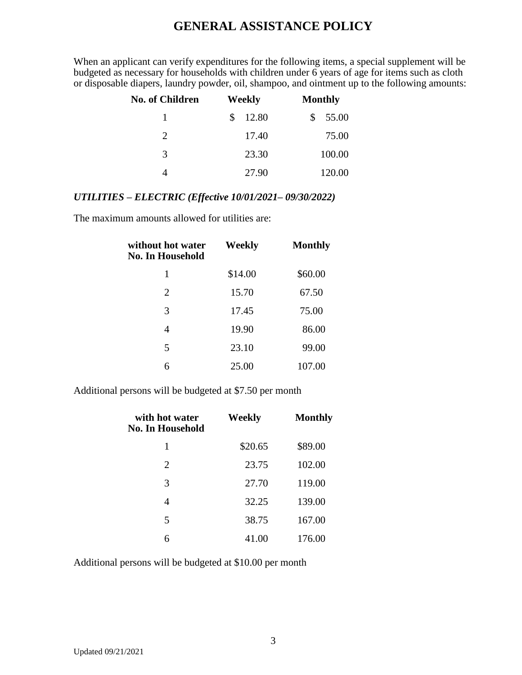When an applicant can verify expenditures for the following items, a special supplement will be budgeted as necessary for households with children under 6 years of age for items such as cloth or disposable diapers, laundry powder, oil, shampoo, and ointment up to the following amounts:

| <b>No. of Children</b> | Weekly       | <b>Monthly</b> |
|------------------------|--------------|----------------|
|                        | 12.80<br>\$. | 55.00<br>\$    |
| 2                      | 17.40        | 75.00          |
| 3                      | 23.30        | 100.00         |
|                        | 27.90        | 120.00         |

### *UTILITIES – ELECTRIC (Effective 10/01/2021– 09/30/2022)*

The maximum amounts allowed for utilities are:

| without hot water<br>No. In Household | Weekly  | <b>Monthly</b> |
|---------------------------------------|---------|----------------|
| 1                                     | \$14.00 | \$60.00        |
| $\overline{2}$                        | 15.70   | 67.50          |
| 3                                     | 17.45   | 75.00          |
| 4                                     | 19.90   | 86.00          |
| 5                                     | 23.10   | 99.00          |
| 6                                     | 25.00   | 107.00         |

Additional persons will be budgeted at \$7.50 per month

| with hot water<br>No. In Household | Weekly  | <b>Monthly</b> |
|------------------------------------|---------|----------------|
| 1                                  | \$20.65 | \$89.00        |
| 2                                  | 23.75   | 102.00         |
| 3                                  | 27.70   | 119.00         |
| 4                                  | 32.25   | 139.00         |
| 5                                  | 38.75   | 167.00         |
| 6                                  | 41.00   | 176.00         |

Additional persons will be budgeted at \$10.00 per month